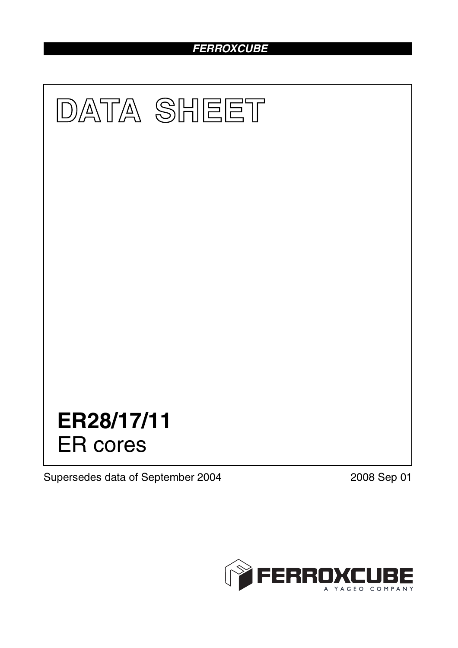# *FERROXCUBE*



Supersedes data of September 2004 2008 Sep 01

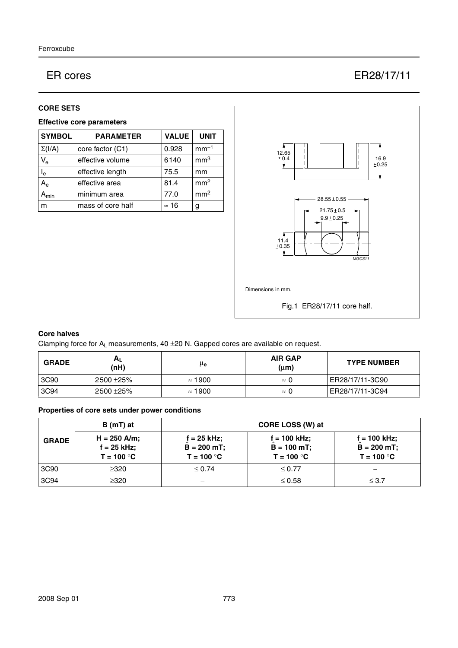# ER cores ER28/17/11

### **CORE SETS**

## **Effective core parameters**

| <b>SYMBOL</b>       | <b>PARAMETER</b>  | <b>VALUE</b> | <b>UNIT</b>     |
|---------------------|-------------------|--------------|-----------------|
| $\Sigma(I/A)$       | core factor (C1)  | 0.928        | $mm-1$          |
| $V_{e}$             | effective volume  | 6140         | mm <sup>3</sup> |
| $I_e$               | effective length  | 75.5         | mm              |
| $A_{e}$             | effective area    | 81.4         | mm <sup>2</sup> |
| $\lambda_{\sf min}$ | minimum area      | 77.0         | mm <sup>2</sup> |
| m                   | mass of core half | $\approx$ 16 | g               |



## **Core halves**

Clamping force for  $A_L$  measurements, 40  $\pm$ 20 N. Gapped cores are available on request.

| <b>GRADE</b> | H <sub>L</sub><br>(nH) | μe             | <b>AIR GAP</b><br>$(\mu m)$ | <b>TYPE NUMBER</b> |
|--------------|------------------------|----------------|-----------------------------|--------------------|
| 3C90         | 2500 ± 25%             | $\approx$ 1900 | $\approx 0$                 | ER28/17/11-3C90    |
| 3C94         | 2500 ± 25%             | $\approx$ 1900 | $\approx 0$                 | ER28/17/11-3C94    |

# **Properties of core sets under power conditions**

|              | $B(mT)$ at                                      | CORE LOSS (W) at                                |                                                  |                                                |
|--------------|-------------------------------------------------|-------------------------------------------------|--------------------------------------------------|------------------------------------------------|
| <b>GRADE</b> | $H = 250$ A/m;<br>$f = 25$ kHz;<br>$T = 100 °C$ | $f = 25$ kHz;<br>$B = 200 mT$ ;<br>$T = 100 °C$ | $f = 100$ kHz;<br>$B = 100 mT$ ;<br>$T = 100 °C$ | f = 100 kHz;<br>$B = 200 mT$ ;<br>$T = 100 °C$ |
| 3C90         | $\geq$ 320                                      | $\leq 0.74$                                     | $\leq 0.77$                                      |                                                |
| 3C94         | $\geq 320$                                      |                                                 | $\leq 0.58$                                      | $\leq 3.7$                                     |